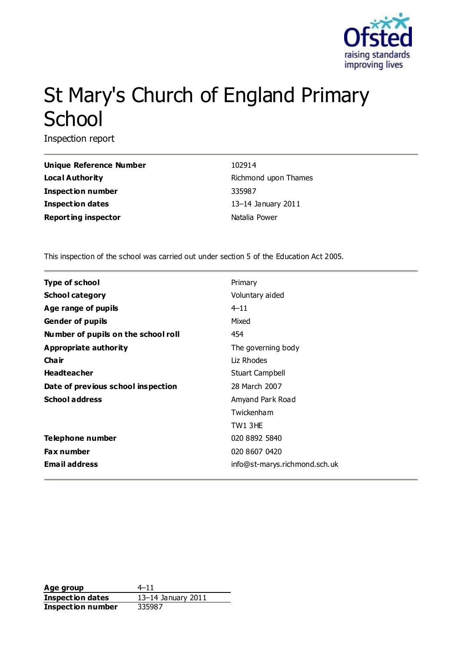

# St Mary's Church of England Primary **School**

Inspection report

| <b>Unique Reference Numbe</b> |
|-------------------------------|
| Local Authority               |
| <b>Inspection number</b>      |
| <b>Inspection dates</b>       |
| <b>Reporting inspector</b>    |

**Primary 102914 Richmond upon Thames Inspection number** 335987 **Inspection dates** 13–14 January 2011 **Natalia Power** 

This inspection of the school was carried out under section 5 of the Education Act 2005.

| Type of school                      | Primary                       |
|-------------------------------------|-------------------------------|
| <b>School category</b>              | Voluntary aided               |
| Age range of pupils                 | $4 - 11$                      |
| <b>Gender of pupils</b>             | Mixed                         |
| Number of pupils on the school roll | 454                           |
| <b>Appropriate authority</b>        | The governing body            |
| Cha ir                              | Liz Rhodes                    |
| <b>Headteacher</b>                  | <b>Stuart Campbell</b>        |
| Date of previous school inspection  | 28 March 2007                 |
| <b>School address</b>               | Amyand Park Road              |
|                                     | Twickenham                    |
|                                     | TW13HE                        |
| Telephone number                    | 020 8892 5840                 |
| <b>Fax number</b>                   | 020 8607 0420                 |
| <b>Email address</b>                | info@st-marys.richmond.sch.uk |
|                                     |                               |

**Age group** 4–11 **Inspection dates** 13–14 January 2011 **Inspection number** 335987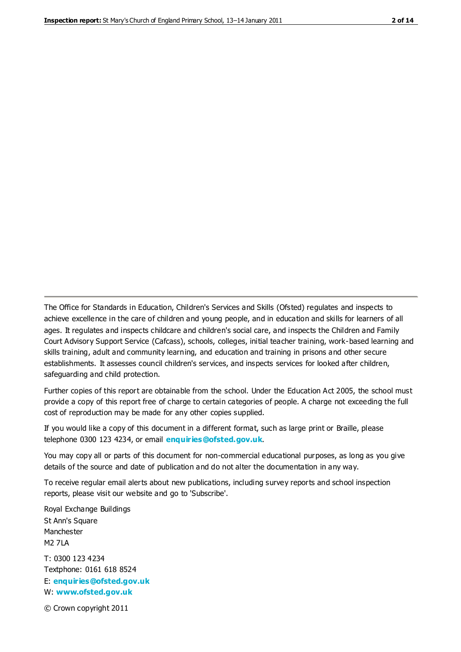The Office for Standards in Education, Children's Services and Skills (Ofsted) regulates and inspects to achieve excellence in the care of children and young people, and in education and skills for learners of all ages. It regulates and inspects childcare and children's social care, and inspects the Children and Family Court Advisory Support Service (Cafcass), schools, colleges, initial teacher training, work-based learning and skills training, adult and community learning, and education and training in prisons and other secure establishments. It assesses council children's services, and inspects services for looked after children, safeguarding and child protection.

Further copies of this report are obtainable from the school. Under the Education Act 2005, the school must provide a copy of this report free of charge to certain categories of people. A charge not exceeding the full cost of reproduction may be made for any other copies supplied.

If you would like a copy of this document in a different format, such as large print or Braille, please telephone 0300 123 4234, or email **[enquiries@ofsted.gov.uk](mailto:enquiries@ofsted.gov.uk)**.

You may copy all or parts of this document for non-commercial educational purposes, as long as you give details of the source and date of publication and do not alter the documentation in any way.

To receive regular email alerts about new publications, including survey reports and school inspection reports, please visit our website and go to 'Subscribe'.

Royal Exchange Buildings St Ann's Square Manchester M2 7LA T: 0300 123 4234 Textphone: 0161 618 8524 E: **[enquiries@ofsted.gov.uk](mailto:enquiries@ofsted.gov.uk)**

W: **[www.ofsted.gov.uk](http://www.ofsted.gov.uk/)**

© Crown copyright 2011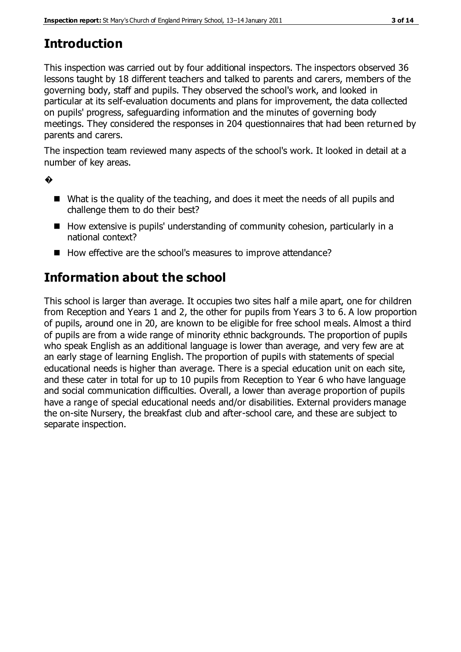# **Introduction**

This inspection was carried out by four additional inspectors. The inspectors observed 36 lessons taught by 18 different teachers and talked to parents and carers, members of the governing body, staff and pupils. They observed the school's work, and looked in particular at its self-evaluation documents and plans for improvement, the data collected on pupils' progress, safeguarding information and the minutes of governing body meetings. They considered the responses in 204 questionnaires that had been returned by parents and carers.

The inspection team reviewed many aspects of the school's work. It looked in detail at a number of key areas.

�

- What is the quality of the teaching, and does it meet the needs of all pupils and challenge them to do their best?
- $\blacksquare$  How extensive is pupils' understanding of community cohesion, particularly in a national context?
- How effective are the school's measures to improve attendance?

# **Information about the school**

This school is larger than average. It occupies two sites half a mile apart, one for children from Reception and Years 1 and 2, the other for pupils from Years 3 to 6. A low proportion of pupils, around one in 20, are known to be eligible for free school meals. Almost a third of pupils are from a wide range of minority ethnic backgrounds. The proportion of pupils who speak English as an additional language is lower than average, and very few are at an early stage of learning English. The proportion of pupils with statements of special educational needs is higher than average. There is a special education unit on each site, and these cater in total for up to 10 pupils from Reception to Year 6 who have language and social communication difficulties. Overall, a lower than average proportion of pupils have a range of special educational needs and/or disabilities. External providers manage the on-site Nursery, the breakfast club and after-school care, and these are subject to separate inspection.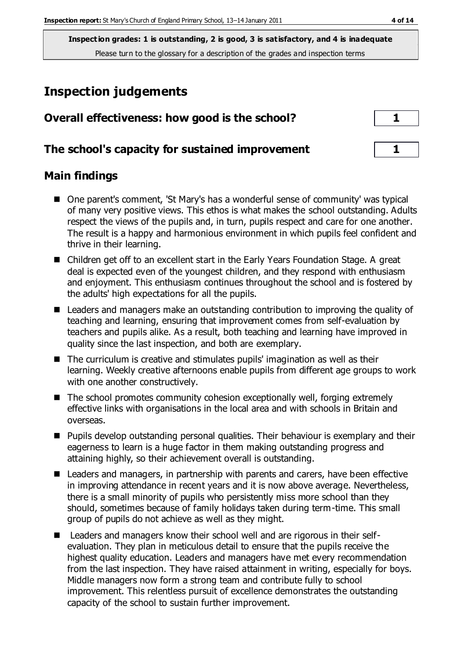# **Inspection judgements**

| Overall effectiveness: how good is the school?  | $\mathbf{1}$ |
|-------------------------------------------------|--------------|
| The school's capacity for sustained improvement |              |

### **Main findings**

- One parent's comment, 'St Mary's has a wonderful sense of community' was typical of many very positive views. This ethos is what makes the school outstanding. Adults respect the views of the pupils and, in turn, pupils respect and care for one another. The result is a happy and harmonious environment in which pupils feel confident and thrive in their learning.
- Children get off to an excellent start in the Early Years Foundation Stage. A great deal is expected even of the youngest children, and they respond with enthusiasm and enjoyment. This enthusiasm continues throughout the school and is fostered by the adults' high expectations for all the pupils.
- Leaders and managers make an outstanding contribution to improving the quality of teaching and learning, ensuring that improvement comes from self-evaluation by teachers and pupils alike. As a result, both teaching and learning have improved in quality since the last inspection, and both are exemplary.
- The curriculum is creative and stimulates pupils' imagination as well as their learning. Weekly creative afternoons enable pupils from different age groups to work with one another constructively.
- The school promotes community cohesion exceptionally well, forging extremely effective links with organisations in the local area and with schools in Britain and overseas.
- **Pupils develop outstanding personal qualities. Their behaviour is exemplary and their** eagerness to learn is a huge factor in them making outstanding progress and attaining highly, so their achievement overall is outstanding.
- Leaders and managers, in partnership with parents and carers, have been effective in improving attendance in recent years and it is now above average. Nevertheless, there is a small minority of pupils who persistently miss more school than they should, sometimes because of family holidays taken during term-time. This small group of pupils do not achieve as well as they might.
- Leaders and managers know their school well and are rigorous in their selfevaluation. They plan in meticulous detail to ensure that the pupils receive the highest quality education. Leaders and managers have met every recommendation from the last inspection. They have raised attainment in writing, especially for boys. Middle managers now form a strong team and contribute fully to school improvement. This relentless pursuit of excellence demonstrates the outstanding capacity of the school to sustain further improvement.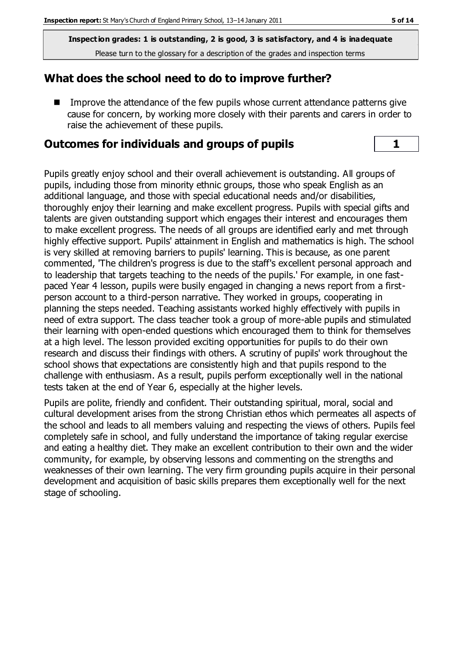### **What does the school need to do to improve further?**

 Improve the attendance of the few pupils whose current attendance patterns give cause for concern, by working more closely with their parents and carers in order to raise the achievement of these pupils.

### **Outcomes for individuals and groups of pupils 1**

Pupils greatly enjoy school and their overall achievement is outstanding. All groups of pupils, including those from minority ethnic groups, those who speak English as an additional language, and those with special educational needs and/or disabilities, thoroughly enjoy their learning and make excellent progress. Pupils with special gifts and talents are given outstanding support which engages their interest and encourages them to make excellent progress. The needs of all groups are identified early and met through highly effective support. Pupils' attainment in English and mathematics is high. The school is very skilled at removing barriers to pupils' learning. This is because, as one parent commented, 'The children's progress is due to the staff's excellent personal approach and to leadership that targets teaching to the needs of the pupils.' For example, in one fastpaced Year 4 lesson, pupils were busily engaged in changing a news report from a firstperson account to a third-person narrative. They worked in groups, cooperating in planning the steps needed. Teaching assistants worked highly effectively with pupils in need of extra support. The class teacher took a group of more-able pupils and stimulated their learning with open-ended questions which encouraged them to think for themselves at a high level. The lesson provided exciting opportunities for pupils to do their own research and discuss their findings with others. A scrutiny of pupils' work throughout the school shows that expectations are consistently high and that pupils respond to the challenge with enthusiasm. As a result, pupils perform exceptionally well in the national tests taken at the end of Year 6, especially at the higher levels.

Pupils are polite, friendly and confident. Their outstanding spiritual, moral, social and cultural development arises from the strong Christian ethos which permeates all aspects of the school and leads to all members valuing and respecting the views of others. Pupils feel completely safe in school, and fully understand the importance of taking regular exercise and eating a healthy diet. They make an excellent contribution to their own and the wider community, for example, by observing lessons and commenting on the strengths and weaknesses of their own learning. The very firm grounding pupils acquire in their personal development and acquisition of basic skills prepares them exceptionally well for the next stage of schooling.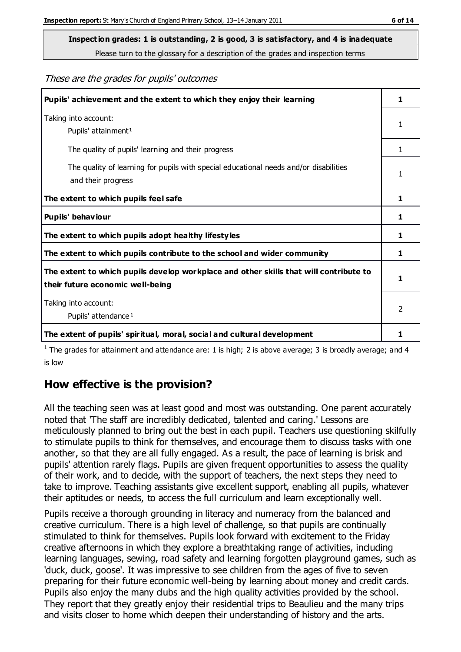**Inspection grades: 1 is outstanding, 2 is good, 3 is satisfactory, and 4 is inadequate**

Please turn to the glossary for a description of the grades and inspection terms

These are the grades for pupils' outcomes

| Pupils' achievement and the extent to which they enjoy their learning                                                     | 1             |
|---------------------------------------------------------------------------------------------------------------------------|---------------|
| Taking into account:<br>Pupils' attainment <sup>1</sup>                                                                   | 1             |
| The quality of pupils' learning and their progress                                                                        | $\mathbf{1}$  |
| The quality of learning for pupils with special educational needs and/or disabilities<br>and their progress               | 1             |
| The extent to which pupils feel safe                                                                                      | 1             |
| Pupils' behaviour                                                                                                         | 1             |
| The extent to which pupils adopt healthy lifestyles                                                                       | 1             |
| The extent to which pupils contribute to the school and wider community                                                   |               |
| The extent to which pupils develop workplace and other skills that will contribute to<br>their future economic well-being |               |
| Taking into account:<br>Pupils' attendance <sup>1</sup>                                                                   | $\mathcal{P}$ |
| The extent of pupils' spiritual, moral, social and cultural development                                                   |               |

<sup>1</sup> The grades for attainment and attendance are: 1 is high; 2 is above average; 3 is broadly average; and 4 is low

# **How effective is the provision?**

All the teaching seen was at least good and most was outstanding. One parent accurately noted that 'The staff are incredibly dedicated, talented and caring.' Lessons are meticulously planned to bring out the best in each pupil. Teachers use questioning skilfully to stimulate pupils to think for themselves, and encourage them to discuss tasks with one another, so that they are all fully engaged. As a result, the pace of learning is brisk and pupils' attention rarely flags. Pupils are given frequent opportunities to assess the quality of their work, and to decide, with the support of teachers, the next steps they need to take to improve. Teaching assistants give excellent support, enabling all pupils, whatever their aptitudes or needs, to access the full curriculum and learn exceptionally well.

Pupils receive a thorough grounding in literacy and numeracy from the balanced and creative curriculum. There is a high level of challenge, so that pupils are continually stimulated to think for themselves. Pupils look forward with excitement to the Friday creative afternoons in which they explore a breathtaking range of activities, including learning languages, sewing, road safety and learning forgotten playground games, such as 'duck, duck, goose'. It was impressive to see children from the ages of five to seven preparing for their future economic well-being by learning about money and credit cards. Pupils also enjoy the many clubs and the high quality activities provided by the school. They report that they greatly enjoy their residential trips to Beaulieu and the many trips and visits closer to home which deepen their understanding of history and the arts.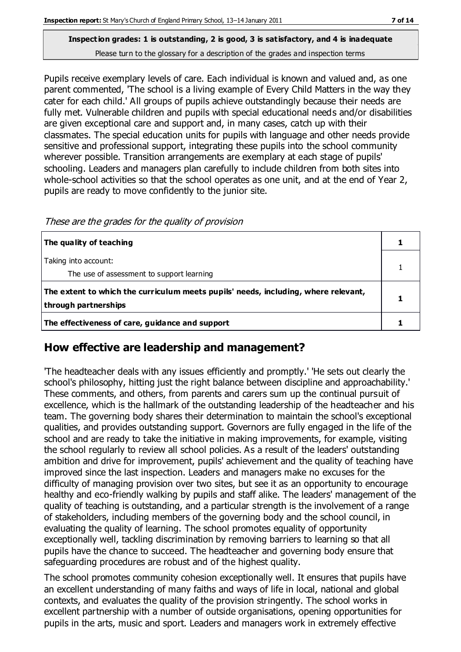Pupils receive exemplary levels of care. Each individual is known and valued and, as one parent commented, 'The school is a living example of Every Child Matters in the way they cater for each child.' All groups of pupils achieve outstandingly because their needs are fully met. Vulnerable children and pupils with special educational needs and/or disabilities are given exceptional care and support and, in many cases, catch up with their classmates. The special education units for pupils with language and other needs provide sensitive and professional support, integrating these pupils into the school community wherever possible. Transition arrangements are exemplary at each stage of pupils' schooling. Leaders and managers plan carefully to include children from both sites into whole-school activities so that the school operates as one unit, and at the end of Year 2, pupils are ready to move confidently to the junior site.

These are the grades for the quality of provision

| The quality of teaching                                                                                    |  |
|------------------------------------------------------------------------------------------------------------|--|
| Taking into account:<br>The use of assessment to support learning                                          |  |
| The extent to which the curriculum meets pupils' needs, including, where relevant,<br>through partnerships |  |
| The effectiveness of care, guidance and support                                                            |  |

# **How effective are leadership and management?**

'The headteacher deals with any issues efficiently and promptly.' 'He sets out clearly the school's philosophy, hitting just the right balance between discipline and approachability.' These comments, and others, from parents and carers sum up the continual pursuit of excellence, which is the hallmark of the outstanding leadership of the headteacher and his team. The governing body shares their determination to maintain the school's exceptional qualities, and provides outstanding support. Governors are fully engaged in the life of the school and are ready to take the initiative in making improvements, for example, visiting the school regularly to review all school policies. As a result of the leaders' outstanding ambition and drive for improvement, pupils' achievement and the quality of teaching have improved since the last inspection. Leaders and managers make no excuses for the difficulty of managing provision over two sites, but see it as an opportunity to encourage healthy and eco-friendly walking by pupils and staff alike. The leaders' management of the quality of teaching is outstanding, and a particular strength is the involvement of a range of stakeholders, including members of the governing body and the school council, in evaluating the quality of learning. The school promotes equality of opportunity exceptionally well, tackling discrimination by removing barriers to learning so that all pupils have the chance to succeed. The headteacher and governing body ensure that safeguarding procedures are robust and of the highest quality.

The school promotes community cohesion exceptionally well. It ensures that pupils have an excellent understanding of many faiths and ways of life in local, national and global contexts, and evaluates the quality of the provision stringently. The school works in excellent partnership with a number of outside organisations, opening opportunities for pupils in the arts, music and sport. Leaders and managers work in extremely effective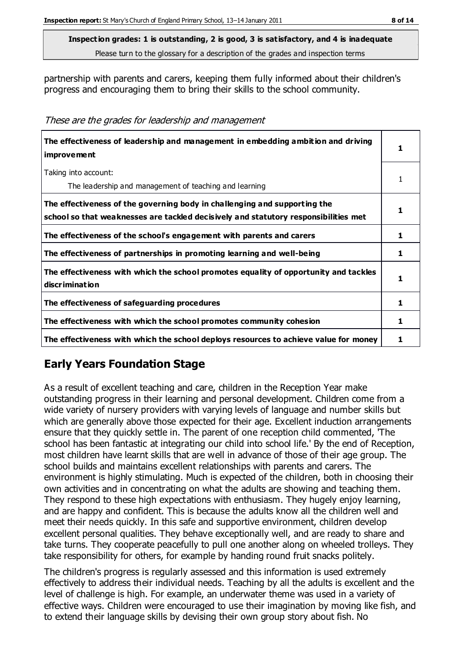partnership with parents and carers, keeping them fully informed about their children's progress and encouraging them to bring their skills to the school community.

These are the grades for leadership and management

| The effectiveness of leadership and management in embedding ambition and driving<br>improvement                                                                  |   |
|------------------------------------------------------------------------------------------------------------------------------------------------------------------|---|
| Taking into account:<br>The leadership and management of teaching and learning                                                                                   |   |
| The effectiveness of the governing body in challenging and supporting the<br>school so that weaknesses are tackled decisively and statutory responsibilities met |   |
| The effectiveness of the school's engagement with parents and carers                                                                                             |   |
| The effectiveness of partnerships in promoting learning and well-being                                                                                           | 1 |
| The effectiveness with which the school promotes equality of opportunity and tackles<br>discrimination                                                           |   |
| The effectiveness of safeguarding procedures                                                                                                                     | 1 |
| The effectiveness with which the school promotes community cohesion                                                                                              | 1 |
| The effectiveness with which the school deploys resources to achieve value for money                                                                             |   |

# **Early Years Foundation Stage**

As a result of excellent teaching and care, children in the Reception Year make outstanding progress in their learning and personal development. Children come from a wide variety of nursery providers with varying levels of language and number skills but which are generally above those expected for their age. Excellent induction arrangements ensure that they quickly settle in. The parent of one reception child commented, 'The school has been fantastic at integrating our child into school life.' By the end of Reception, most children have learnt skills that are well in advance of those of their age group. The school builds and maintains excellent relationships with parents and carers. The environment is highly stimulating. Much is expected of the children, both in choosing their own activities and in concentrating on what the adults are showing and teaching them. They respond to these high expectations with enthusiasm. They hugely enjoy learning, and are happy and confident. This is because the adults know all the children well and meet their needs quickly. In this safe and supportive environment, children develop excellent personal qualities. They behave exceptionally well, and are ready to share and take turns. They cooperate peacefully to pull one another along on wheeled trolleys. They take responsibility for others, for example by handing round fruit snacks politely.

The children's progress is regularly assessed and this information is used extremely effectively to address their individual needs. Teaching by all the adults is excellent and the level of challenge is high. For example, an underwater theme was used in a variety of effective ways. Children were encouraged to use their imagination by moving like fish, and to extend their language skills by devising their own group story about fish. No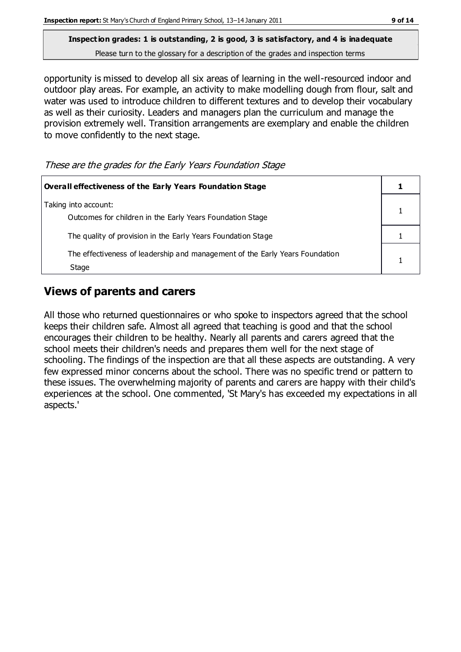opportunity is missed to develop all six areas of learning in the well-resourced indoor and outdoor play areas. For example, an activity to make modelling dough from flour, salt and water was used to introduce children to different textures and to develop their vocabulary as well as their curiosity. Leaders and managers plan the curriculum and manage the provision extremely well. Transition arrangements are exemplary and enable the children to move confidently to the next stage.

These are the grades for the Early Years Foundation Stage

| Overall effectiveness of the Early Years Foundation Stage                             |  |
|---------------------------------------------------------------------------------------|--|
| Taking into account:<br>Outcomes for children in the Early Years Foundation Stage     |  |
| The quality of provision in the Early Years Foundation Stage                          |  |
| The effectiveness of leadership and management of the Early Years Foundation<br>Stage |  |

# **Views of parents and carers**

All those who returned questionnaires or who spoke to inspectors agreed that the school keeps their children safe. Almost all agreed that teaching is good and that the school encourages their children to be healthy. Nearly all parents and carers agreed that the school meets their children's needs and prepares them well for the next stage of schooling. The findings of the inspection are that all these aspects are outstanding. A very few expressed minor concerns about the school. There was no specific trend or pattern to these issues. The overwhelming majority of parents and carers are happy with their child's experiences at the school. One commented, 'St Mary's has exceeded my expectations in all aspects.'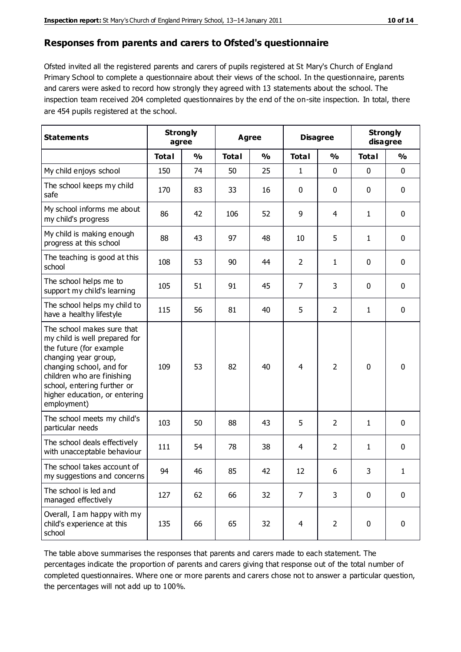#### **Responses from parents and carers to Ofsted's questionnaire**

Ofsted invited all the registered parents and carers of pupils registered at St Mary's Church of England Primary School to complete a questionnaire about their views of the school. In the questionnaire, parents and carers were asked to record how strongly they agreed with 13 statements about the school. The inspection team received 204 completed questionnaires by the end of the on-site inspection. In total, there are 454 pupils registered at the school.

| <b>Statements</b>                                                                                                                                                                                                                                       | <b>Strongly</b><br>agree |               | Agree        |               | <b>Disagree</b> |                | <b>Strongly</b><br>disagree |               |
|---------------------------------------------------------------------------------------------------------------------------------------------------------------------------------------------------------------------------------------------------------|--------------------------|---------------|--------------|---------------|-----------------|----------------|-----------------------------|---------------|
|                                                                                                                                                                                                                                                         | <b>Total</b>             | $\frac{0}{0}$ | <b>Total</b> | $\frac{0}{0}$ | <b>Total</b>    | $\frac{0}{0}$  | <b>Total</b>                | $\frac{0}{0}$ |
| My child enjoys school                                                                                                                                                                                                                                  | 150                      | 74            | 50           | 25            | $\mathbf{1}$    | 0              | $\mathbf 0$                 | $\mathbf 0$   |
| The school keeps my child<br>safe                                                                                                                                                                                                                       | 170                      | 83            | 33           | 16            | 0               | 0              | 0                           | $\mathbf 0$   |
| My school informs me about<br>my child's progress                                                                                                                                                                                                       | 86                       | 42            | 106          | 52            | 9               | 4              | 1                           | $\mathbf 0$   |
| My child is making enough<br>progress at this school                                                                                                                                                                                                    | 88                       | 43            | 97           | 48            | 10              | 5              | 1                           | $\mathbf 0$   |
| The teaching is good at this<br>school                                                                                                                                                                                                                  | 108                      | 53            | 90           | 44            | $\overline{2}$  | $\mathbf{1}$   | 0                           | $\mathbf 0$   |
| The school helps me to<br>support my child's learning                                                                                                                                                                                                   | 105                      | 51            | 91           | 45            | $\overline{7}$  | 3              | $\mathbf 0$                 | $\mathbf 0$   |
| The school helps my child to<br>have a healthy lifestyle                                                                                                                                                                                                | 115                      | 56            | 81           | 40            | 5               | $\overline{2}$ | 1                           | $\mathbf 0$   |
| The school makes sure that<br>my child is well prepared for<br>the future (for example<br>changing year group,<br>changing school, and for<br>children who are finishing<br>school, entering further or<br>higher education, or entering<br>employment) | 109                      | 53            | 82           | 40            | $\overline{4}$  | $\overline{2}$ | $\mathbf 0$                 | $\mathbf 0$   |
| The school meets my child's<br>particular needs                                                                                                                                                                                                         | 103                      | 50            | 88           | 43            | 5               | $\overline{2}$ | 1                           | $\mathbf 0$   |
| The school deals effectively<br>with unacceptable behaviour                                                                                                                                                                                             | 111                      | 54            | 78           | 38            | 4               | $\overline{2}$ | 1                           | $\mathbf 0$   |
| The school takes account of<br>my suggestions and concerns                                                                                                                                                                                              | 94                       | 46            | 85           | 42            | 12              | 6              | 3.                          | 1             |
| The school is led and<br>managed effectively                                                                                                                                                                                                            | 127                      | 62            | 66           | 32            | $\overline{7}$  | 3              | $\mathbf 0$                 | $\mathbf 0$   |
| Overall, I am happy with my<br>child's experience at this<br>school                                                                                                                                                                                     | 135                      | 66            | 65           | 32            | $\overline{4}$  | $\overline{2}$ | $\pmb{0}$                   | $\mathbf 0$   |

The table above summarises the responses that parents and carers made to each statement. The percentages indicate the proportion of parents and carers giving that response out of the total number of completed questionnaires. Where one or more parents and carers chose not to answer a particular question, the percentages will not add up to 100%.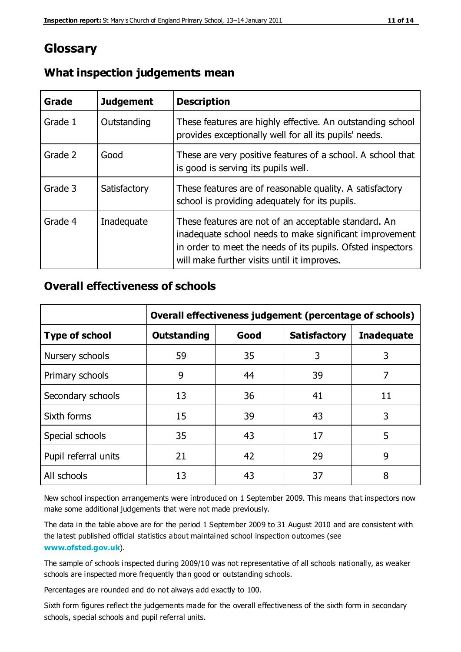# **Glossary**

| Grade   | <b>Judgement</b> | <b>Description</b>                                                                                                                                                                                                            |
|---------|------------------|-------------------------------------------------------------------------------------------------------------------------------------------------------------------------------------------------------------------------------|
| Grade 1 | Outstanding      | These features are highly effective. An outstanding school<br>provides exceptionally well for all its pupils' needs.                                                                                                          |
| Grade 2 | Good             | These are very positive features of a school. A school that<br>is good is serving its pupils well.                                                                                                                            |
| Grade 3 | Satisfactory     | These features are of reasonable quality. A satisfactory<br>school is providing adequately for its pupils.                                                                                                                    |
| Grade 4 | Inadequate       | These features are not of an acceptable standard. An<br>inadequate school needs to make significant improvement<br>in order to meet the needs of its pupils. Ofsted inspectors<br>will make further visits until it improves. |

# **What inspection judgements mean**

# **Overall effectiveness of schools**

|                       | Overall effectiveness judgement (percentage of schools) |      |                     |                   |
|-----------------------|---------------------------------------------------------|------|---------------------|-------------------|
| <b>Type of school</b> | <b>Outstanding</b>                                      | Good | <b>Satisfactory</b> | <b>Inadequate</b> |
| Nursery schools       | 59                                                      | 35   | 3                   | 3                 |
| Primary schools       | 9                                                       | 44   | 39                  | 7                 |
| Secondary schools     | 13                                                      | 36   | 41                  | 11                |
| Sixth forms           | 15                                                      | 39   | 43                  | 3                 |
| Special schools       | 35                                                      | 43   | 17                  | 5                 |
| Pupil referral units  | 21                                                      | 42   | 29                  | 9                 |
| All schools           | 13                                                      | 43   | 37                  | 8                 |

New school inspection arrangements were introduced on 1 September 2009. This means that inspectors now make some additional judgements that were not made previously.

The data in the table above are for the period 1 September 2009 to 31 August 2010 and are consistent with the latest published official statistics about maintained school inspection outcomes (see **[www.ofsted.gov.uk](http://www.ofsted.gov.uk/)**).

The sample of schools inspected during 2009/10 was not representative of all schools nationally, as weaker schools are inspected more frequently than good or outstanding schools.

Percentages are rounded and do not always add exactly to 100.

Sixth form figures reflect the judgements made for the overall effectiveness of the sixth form in secondary schools, special schools and pupil referral units.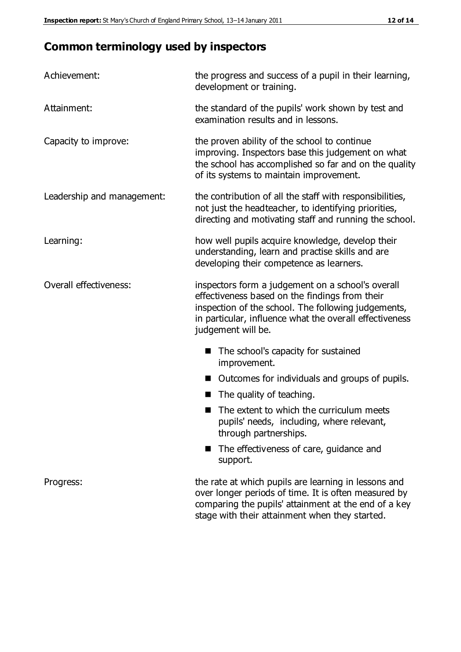# **Common terminology used by inspectors**

| Achievement:               | the progress and success of a pupil in their learning,<br>development or training.                                                                                                                                                          |  |  |
|----------------------------|---------------------------------------------------------------------------------------------------------------------------------------------------------------------------------------------------------------------------------------------|--|--|
| Attainment:                | the standard of the pupils' work shown by test and<br>examination results and in lessons.                                                                                                                                                   |  |  |
| Capacity to improve:       | the proven ability of the school to continue<br>improving. Inspectors base this judgement on what<br>the school has accomplished so far and on the quality<br>of its systems to maintain improvement.                                       |  |  |
| Leadership and management: | the contribution of all the staff with responsibilities,<br>not just the headteacher, to identifying priorities,<br>directing and motivating staff and running the school.                                                                  |  |  |
| Learning:                  | how well pupils acquire knowledge, develop their<br>understanding, learn and practise skills and are<br>developing their competence as learners.                                                                                            |  |  |
| Overall effectiveness:     | inspectors form a judgement on a school's overall<br>effectiveness based on the findings from their<br>inspection of the school. The following judgements,<br>in particular, influence what the overall effectiveness<br>judgement will be. |  |  |
|                            | The school's capacity for sustained<br>improvement.                                                                                                                                                                                         |  |  |
|                            | Outcomes for individuals and groups of pupils.                                                                                                                                                                                              |  |  |
|                            | The quality of teaching.                                                                                                                                                                                                                    |  |  |
|                            | The extent to which the curriculum meets<br>pupils' needs, including, where relevant,<br>through partnerships.                                                                                                                              |  |  |
|                            | The effectiveness of care, guidance and<br>support.                                                                                                                                                                                         |  |  |
| Progress:                  | the rate at which pupils are learning in lessons and<br>over longer periods of time. It is often measured by<br>comparing the pupils' attainment at the end of a key                                                                        |  |  |

stage with their attainment when they started.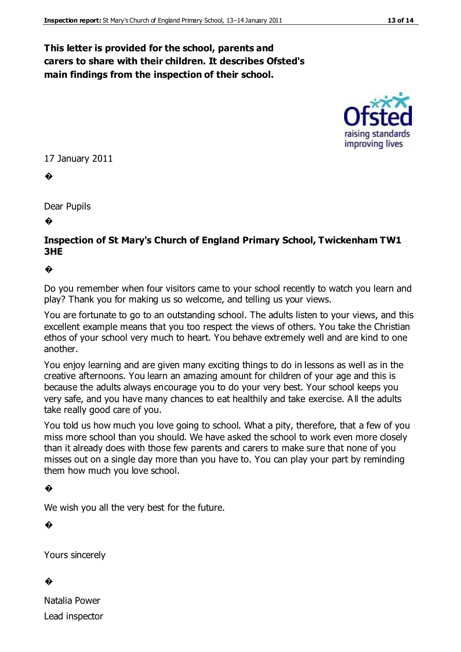# **This letter is provided for the school, parents and carers to share with their children. It describes Ofsted's main findings from the inspection of their school.**



#### 17 January 2011

�

Dear Pupils

�

#### **Inspection of St Mary's Church of England Primary School, Twickenham TW1 3HE**

#### �

Do you remember when four visitors came to your school recently to watch you learn and play? Thank you for making us so welcome, and telling us your views.

You are fortunate to go to an outstanding school. The adults listen to your views, and this excellent example means that you too respect the views of others. You take the Christian ethos of your school very much to heart. You behave extremely well and are kind to one another.

You enjoy learning and are given many exciting things to do in lessons as well as in the creative afternoons. You learn an amazing amount for children of your age and this is because the adults always encourage you to do your very best. Your school keeps you very safe, and you have many chances to eat healthily and take exercise. A ll the adults take really good care of you.

You told us how much you love going to school. What a pity, therefore, that a few of you miss more school than you should. We have asked the school to work even more closely than it already does with those few parents and carers to make sure that none of you misses out on a single day more than you have to. You can play your part by reminding them how much you love school.

#### �

We wish you all the very best for the future.

�

Yours sincerely

#### �

Natalia Power Lead inspector